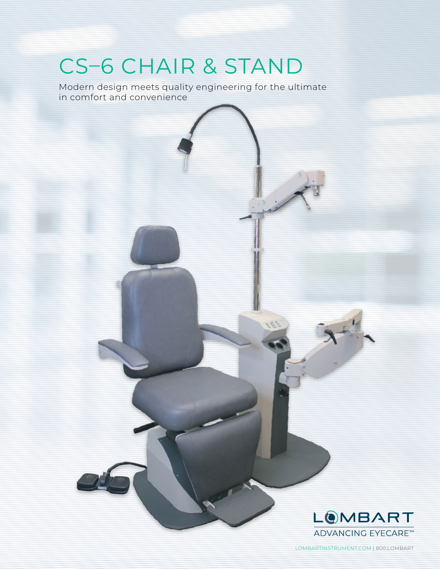# CS–6 CHAIR & STAND

Modern design meets quality engineering for the ultimate in comfort and convenience



LOMBARTINSTRUMENT.COM | 800.LOMBART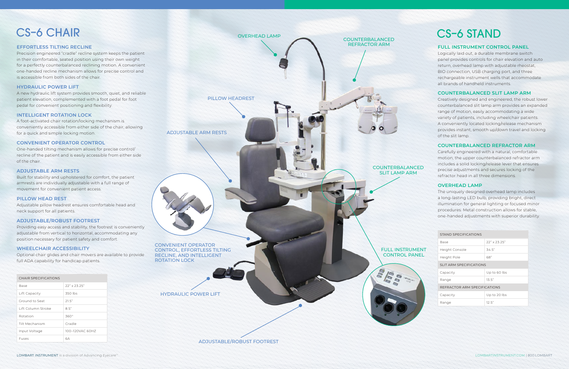### CS–6 CHAIR

#### **EFFORTLESS TILTING RECLINE**

Precision engineered "cradle" recline system keeps the patient in their comfortable, seated position using their own weight for a perfectly counterbalanced reclining motion. A convenient one-handed recline mechanism allows for precise control and is accessible from both sides of the chair.

#### **HYDRAULIC POWER LIFT**

A new hydraulic lift system provides smooth, quiet, and reliable patient elevation, complemented with a foot pedal for foot pedal for convenient positioning and flexibility.

#### **INTELLIGENT ROTATION LOCK**

A foot-activated chair rotation/locking mechanism is conveniently accessible from either side of the chair, allowing for a quick and simple locking motion.

#### **CONVENIENT OPERATOR CONTROL**

One-handed tilting mechanism allows for precise control/ recline of the patient and is easily accessible from either side of the chair.

#### **ADJUSTABLE ARM RESTS**

Built for stability and upholstered for comfort, the patient armrests are individually adjustable with a full range of movement for convenient patient access.

#### **PILLOW HEAD REST**

Adjustable pillow headrest ensures comfortable head and neck support for all patients.

#### **ADJUSTABLE/ROBUST FOOTREST**

Providing easy access and stability, the footrest is conveniently adjustable from vertical to horizontal, accommodating any position necessary for patient safety and comfort.

#### **WHEELCHAIR ACCESSIBILITY**

Optional chair glides and chair movers are available to provide full ADA capability for handicap patients.

#### CHAIR SPECIFICATIONS

| Base               | $22"$ x $23'$ $25"$ |
|--------------------|---------------------|
| Lift Capacity      | 350 lbs             |
| Ground to Seat     | 21.5"               |
| Lift Column Stroke | 8.5"                |
| Rotation           | 360°                |
| Tilt Mechanism     | Cradle              |
| Input Voltage      | 100-120VAC 60HZ     |
| Fuses              | бΑ                  |

| STAND SPECIFICATIONS         |  |                     |
|------------------------------|--|---------------------|
| <b>Base</b>                  |  | $22" \times 23.25"$ |
| Height Console               |  | 34.5"               |
| Height Pole                  |  | 68"                 |
| SLIT ARM SPECIFICATIONS      |  |                     |
| Capacity                     |  | Up to 60 lbs        |
| Range                        |  | 13.5"               |
| REFRACTOR ARM SPECIFICATIONS |  |                     |
| Capacity                     |  | Up to 20 lbs        |
| Range                        |  | 12.5"               |



CONVENIENT OPERATOR CONTROL, EFFORTLESS TILTING RECLINE, AND INTELLIGENT ROTATION LOCK

OVERHEAD LAMP COUNTERBALANCED REFRACTOR ARM COUNTERBALANCED SLIT LAMP ARM FULL INSTRUMENT CONTROL PANEL PILLOW HEADREST

**OVO 1338** 

ADJUSTABLE/ROBUST FOOTREST

HYDRAULIC POWER LIFT

ADJUSTABLE ARM RESTS

## CS–6 STAND

#### **FULL INSTRUMENT CONTROL PANEL**

Logically laid out, a durable membrane switch panel provides controls for chair elevation and auto return, overhead lamp with adjustable rheostat, BIO connection, USB charging port, and three rechargeable instrument wells that accommodate all brands of handheld instruments.

#### **COUNTERBALANCED SLIT LAMP ARM**

Creatively designed and engineered, the robust lower counterbalanced slit lamp arm provides an expanded range of motion, easily accommodating a wide variety of patients, including wheelchair patients. A conveniently located locking/release mechanism provides instant, smooth up/down travel and locking of the slit lamp.

#### **COUNTERBALANCED REFRACTOR ARM**

Carefully engineered with a natural, comfortable motion, the upper counterbalanced refractor arm includes a solid locking/release lever that ensures precise adjustments and secures locking of the refractor head in all three dimensions.

#### **OVERHEAD LAMP**

The uniquely designed overhead lamp includes a long-lasting LED bulb, providing bright, direct illumination for general lighting or focused minor procedures. Metal construction allows for stable, one-handed adjustments with superior durability.